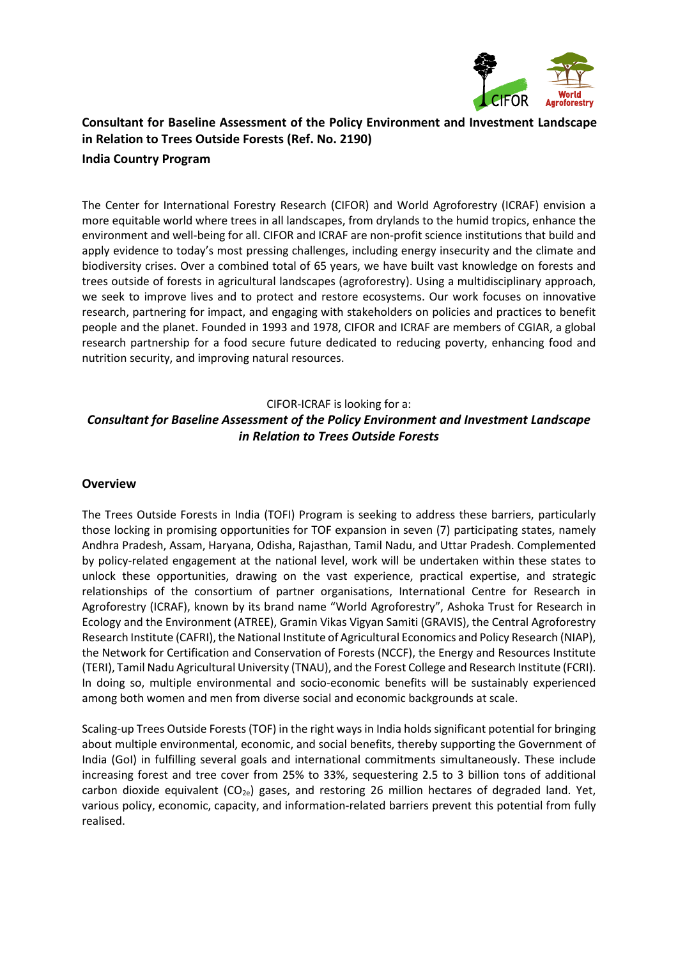

# **Consultant for Baseline Assessment of the Policy Environment and Investment Landscape in Relation to Trees Outside Forests (Ref. No. 2190) India Country Program**

The Center for International Forestry Research (CIFOR) and World Agroforestry (ICRAF) envision a more equitable world where trees in all landscapes, from drylands to the humid tropics, enhance the environment and well-being for all. CIFOR and ICRAF are non-profit science institutions that build and apply evidence to today's most pressing challenges, including energy insecurity and the climate and biodiversity crises. Over a combined total of 65 years, we have built vast knowledge on forests and trees outside of forests in agricultural landscapes (agroforestry). Using a multidisciplinary approach, we seek to improve lives and to protect and restore ecosystems. Our work focuses on innovative research, partnering for impact, and engaging with stakeholders on policies and practices to benefit people and the planet. Founded in 1993 and 1978, CIFOR and ICRAF are members of CGIAR, a global research partnership for a food secure future dedicated to reducing poverty, enhancing food and nutrition security, and improving natural resources.

# CIFOR-ICRAF is looking for a: *Consultant for Baseline Assessment of the Policy Environment and Investment Landscape in Relation to Trees Outside Forests*

#### **Overview**

The Trees Outside Forests in India (TOFI) Program is seeking to address these barriers, particularly those locking in promising opportunities for TOF expansion in seven (7) participating states, namely Andhra Pradesh, Assam, Haryana, Odisha, Rajasthan, Tamil Nadu, and Uttar Pradesh. Complemented by policy-related engagement at the national level, work will be undertaken within these states to unlock these opportunities, drawing on the vast experience, practical expertise, and strategic relationships of the consortium of partner organisations, International Centre for Research in Agroforestry (ICRAF), known by its brand name "World Agroforestry", Ashoka Trust for Research in Ecology and the Environment (ATREE), Gramin Vikas Vigyan Samiti (GRAVIS), the Central Agroforestry Research Institute (CAFRI), the National Institute of Agricultural Economics and Policy Research (NIAP), the Network for Certification and Conservation of Forests (NCCF), the Energy and Resources Institute (TERI), Tamil Nadu Agricultural University (TNAU), and the Forest College and Research Institute (FCRI). In doing so, multiple environmental and socio-economic benefits will be sustainably experienced among both women and men from diverse social and economic backgrounds at scale.

Scaling-up Trees Outside Forests (TOF) in the right ways in India holds significant potential for bringing about multiple environmental, economic, and social benefits, thereby supporting the Government of India (GoI) in fulfilling several goals and international commitments simultaneously. These include increasing forest and tree cover from 25% to 33%, sequestering 2.5 to 3 billion tons of additional carbon dioxide equivalent  $(CO_{2e})$  gases, and restoring 26 million hectares of degraded land. Yet, various policy, economic, capacity, and information-related barriers prevent this potential from fully realised.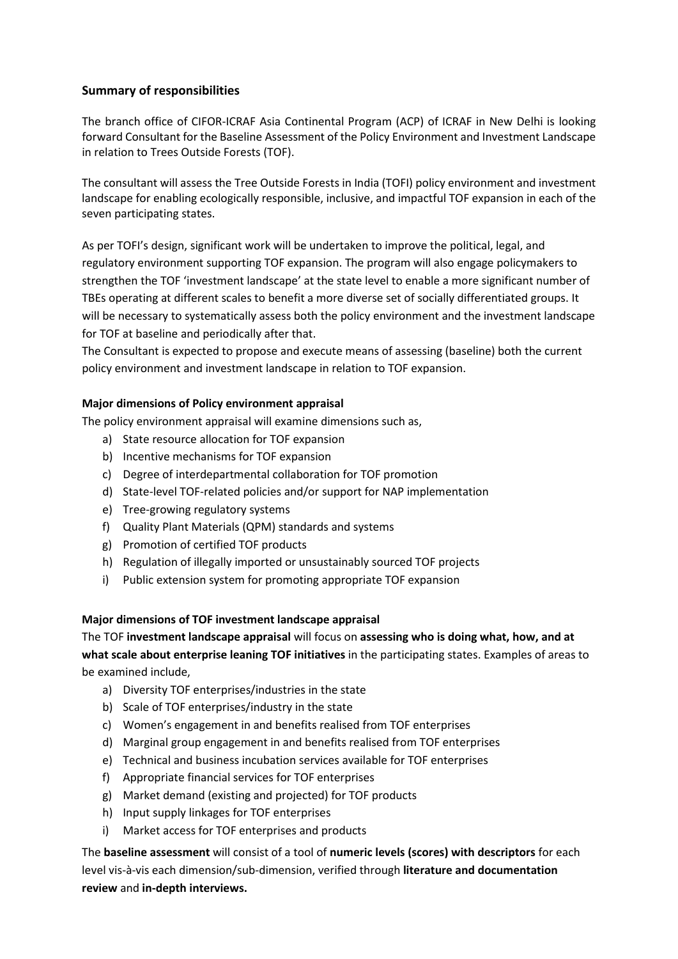## **Summary of responsibilities**

The branch office of CIFOR-ICRAF Asia Continental Program (ACP) of ICRAF in New Delhi is looking forward Consultant for the Baseline Assessment of the Policy Environment and Investment Landscape in relation to Trees Outside Forests (TOF).

The consultant will assess the Tree Outside Forests in India (TOFI) policy environment and investment landscape for enabling ecologically responsible, inclusive, and impactful TOF expansion in each of the seven participating states.

As per TOFI's design, significant work will be undertaken to improve the political, legal, and regulatory environment supporting TOF expansion. The program will also engage policymakers to strengthen the TOF 'investment landscape' at the state level to enable a more significant number of TBEs operating at different scales to benefit a more diverse set of socially differentiated groups. It will be necessary to systematically assess both the policy environment and the investment landscape for TOF at baseline and periodically after that.

The Consultant is expected to propose and execute means of assessing (baseline) both the current policy environment and investment landscape in relation to TOF expansion.

## **Major dimensions of Policy environment appraisal**

The policy environment appraisal will examine dimensions such as,

- a) State resource allocation for TOF expansion
- b) Incentive mechanisms for TOF expansion
- c) Degree of interdepartmental collaboration for TOF promotion
- d) State-level TOF-related policies and/or support for NAP implementation
- e) Tree-growing regulatory systems
- f) Quality Plant Materials (QPM) standards and systems
- g) Promotion of certified TOF products
- h) Regulation of illegally imported or unsustainably sourced TOF projects
- i) Public extension system for promoting appropriate TOF expansion

#### **Major dimensions of TOF investment landscape appraisal**

The TOF **investment landscape appraisal** will focus on **assessing who is doing what, how, and at** 

**what scale about enterprise leaning TOF initiatives** in the participating states. Examples of areas to be examined include,

- a) Diversity TOF enterprises/industries in the state
- b) Scale of TOF enterprises/industry in the state
- c) Women's engagement in and benefits realised from TOF enterprises
- d) Marginal group engagement in and benefits realised from TOF enterprises
- e) Technical and business incubation services available for TOF enterprises
- f) Appropriate financial services for TOF enterprises
- g) Market demand (existing and projected) for TOF products
- h) Input supply linkages for TOF enterprises
- i) Market access for TOF enterprises and products

The **baseline assessment** will consist of a tool of **numeric levels (scores) with descriptors** for each level vis-à-vis each dimension/sub-dimension, verified through **literature and documentation review** and **in-depth interviews.**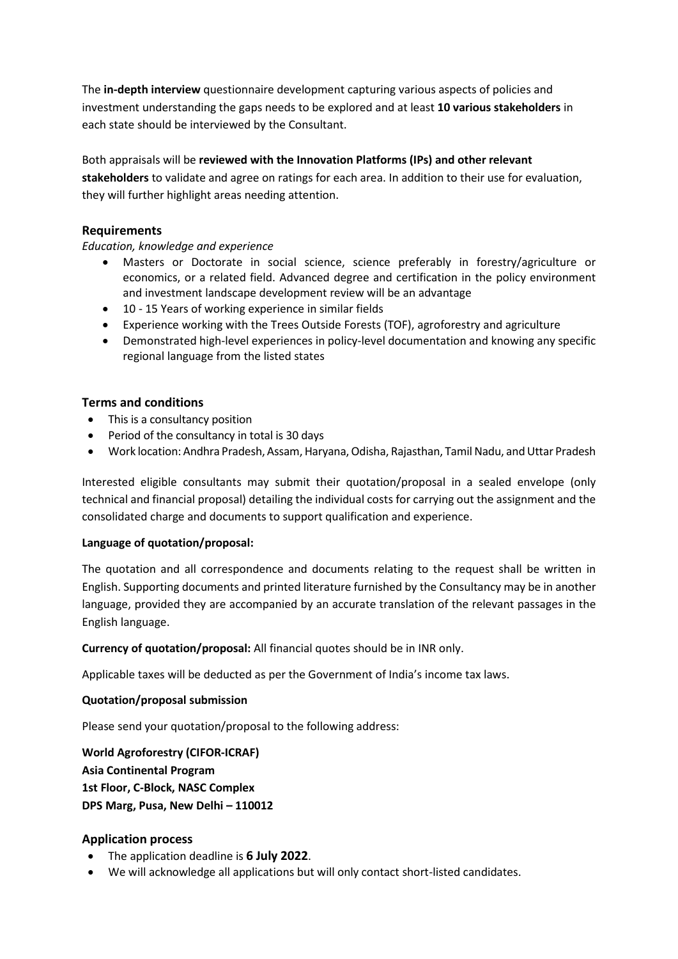The **in-depth interview** questionnaire development capturing various aspects of policies and investment understanding the gaps needs to be explored and at least **10 various stakeholders** in each state should be interviewed by the Consultant.

Both appraisals will be **reviewed with the Innovation Platforms (IPs) and other relevant stakeholders** to validate and agree on ratings for each area. In addition to their use for evaluation, they will further highlight areas needing attention.

### **Requirements**

*Education, knowledge and experience*

- Masters or Doctorate in social science, science preferably in forestry/agriculture or economics, or a related field. Advanced degree and certification in the policy environment and investment landscape development review will be an advantage
- 10 15 Years of working experience in similar fields
- Experience working with the Trees Outside Forests (TOF), agroforestry and agriculture
- Demonstrated high-level experiences in policy-level documentation and knowing any specific regional language from the listed states

#### **Terms and conditions**

- This is a consultancy position
- Period of the consultancy in total is 30 days
- Work location: Andhra Pradesh, Assam, Haryana, Odisha, Rajasthan, Tamil Nadu, and Uttar Pradesh

Interested eligible consultants may submit their quotation/proposal in a sealed envelope (only technical and financial proposal) detailing the individual costs for carrying out the assignment and the consolidated charge and documents to support qualification and experience.

#### **Language of quotation/proposal:**

The quotation and all correspondence and documents relating to the request shall be written in English. Supporting documents and printed literature furnished by the Consultancy may be in another language, provided they are accompanied by an accurate translation of the relevant passages in the English language.

**Currency of quotation/proposal:** All financial quotes should be in INR only.

Applicable taxes will be deducted as per the Government of India's income tax laws.

#### **Quotation/proposal submission**

Please send your quotation/proposal to the following address:

**World Agroforestry (CIFOR-ICRAF) Asia Continental Program 1st Floor, C-Block, NASC Complex DPS Marg, Pusa, New Delhi – 110012**

## **Application process**

- The application deadline is **6 July 2022**.
- We will acknowledge all applications but will only contact short-listed candidates.